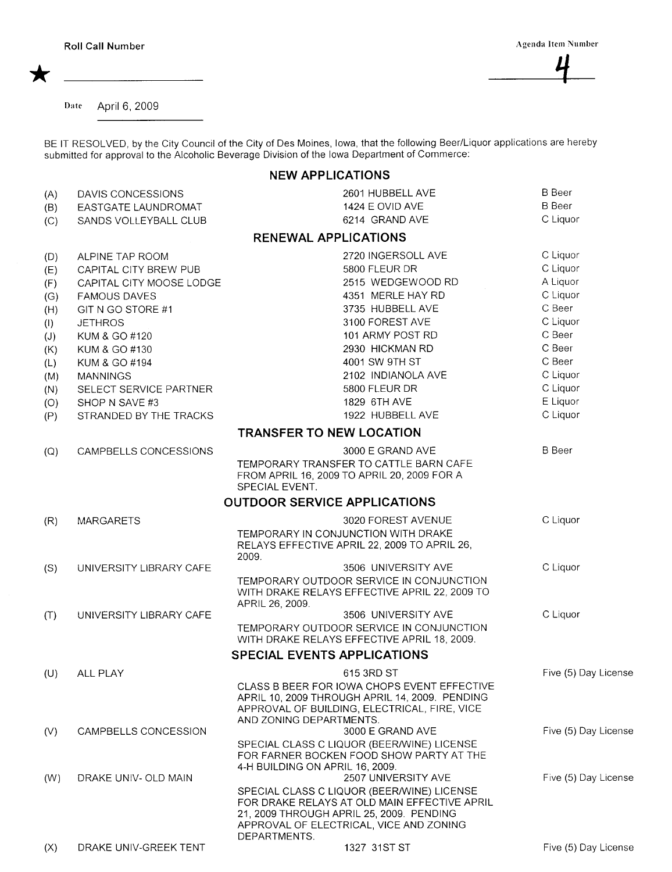Date April 6, 2009

BE IT RESOLVED, by the City Council of the City of Des Moines, Iowa, that the following Beer/Liquor applications are hereby submitted for approval to the Alcoholic Beverage Division of the Iowa Department of Commerce:

## NEW APPLICATIONS

| (A) | DAVIS CONCESSIONS        | 2601 HUBBELL AVE                                                                                                                                                                  | <b>B</b> Beer        |
|-----|--------------------------|-----------------------------------------------------------------------------------------------------------------------------------------------------------------------------------|----------------------|
| (B) | EASTGATE LAUNDROMAT      | 1424 E OVID AVE                                                                                                                                                                   | <b>B</b> Beer        |
| (C) | SANDS VOLLEYBALL CLUB    | 6214 GRAND AVE                                                                                                                                                                    | C Liquor             |
|     |                          | <b>RENEWAL APPLICATIONS</b>                                                                                                                                                       |                      |
| (D) | ALPINE TAP ROOM          | 2720 INGERSOLL AVE                                                                                                                                                                | C Liquor             |
| (E) | CAPITAL CITY BREW PUB    | 5800 FLEUR DR                                                                                                                                                                     | C Liquor             |
| (F) | CAPITAL CITY MOOSE LODGE | 2515 WEDGEWOOD RD                                                                                                                                                                 | A Liquor             |
| (G) | <b>FAMOUS DAVES</b>      | 4351 MERLE HAY RD                                                                                                                                                                 | C Liquor             |
| (H) | GIT N GO STORE #1        | 3735 HUBBELL AVE                                                                                                                                                                  | C Beer               |
| (1) | <b>JETHROS</b>           | 3100 FOREST AVE                                                                                                                                                                   | C Liquor             |
| (J) | KUM & GO #120            | 101 ARMY POST RD                                                                                                                                                                  | C Beer               |
| (K) | KUM & GO #130            | 2930 HICKMAN RD                                                                                                                                                                   | C Beer               |
| (L) | KUM & GO #194            | 4001 SW 9TH ST                                                                                                                                                                    | C Beer               |
| (M) | <b>MANNINGS</b>          | 2102 INDIANOLA AVE                                                                                                                                                                | C Liquor             |
| (N) | SELECT SERVICE PARTNER   | 5800 FLEUR DR                                                                                                                                                                     | C Liquor             |
| (O) | SHOP N SAVE #3           | 1829 6TH AVE                                                                                                                                                                      | E Liquor             |
| (P) | STRANDED BY THE TRACKS   | 1922 HUBBELL AVE                                                                                                                                                                  | C Liquor             |
|     |                          | <b>TRANSFER TO NEW LOCATION</b>                                                                                                                                                   |                      |
| (Q) | CAMPBELLS CONCESSIONS    | 3000 E GRAND AVE                                                                                                                                                                  | <b>B</b> Beer        |
|     |                          | TEMPORARY TRANSFER TO CATTLE BARN CAFE<br>FROM APRIL 16, 2009 TO APRIL 20, 2009 FOR A<br>SPECIAL EVENT.                                                                           |                      |
|     |                          | <b>OUTDOOR SERVICE APPLICATIONS</b>                                                                                                                                               |                      |
| (R) | <b>MARGARETS</b>         | 3020 FOREST AVENUE                                                                                                                                                                | C Liquor             |
|     |                          | TEMPORARY IN CONJUNCTION WITH DRAKE                                                                                                                                               |                      |
|     |                          | RELAYS EFFECTIVE APRIL 22, 2009 TO APRIL 26,<br>2009.                                                                                                                             |                      |
| (S) | UNIVERSITY LIBRARY CAFE  | 3506 UNIVERSITY AVE                                                                                                                                                               | C Liquor             |
|     |                          | TEMPORARY OUTDOOR SERVICE IN CONJUNCTION<br>WITH DRAKE RELAYS EFFECTIVE APRIL 22, 2009 TO<br>APRIL 26, 2009.                                                                      |                      |
| (T) | UNIVERSITY LIBRARY CAFE  | 3506 UNIVERSITY AVE                                                                                                                                                               | C Liquor             |
|     |                          | TEMPORARY OUTDOOR SERVICE IN CONJUNCTION<br>WITH DRAKE RELAYS EFFECTIVE APRIL 18, 2009.                                                                                           |                      |
|     |                          | SPECIAL EVENTS APPLICATIONS                                                                                                                                                       |                      |
| (U) | ALL PLAY                 | 615 3RD ST                                                                                                                                                                        | Five (5) Day License |
|     |                          | CLASS B BEER FOR IOWA CHOPS EVENT EFFECTIVE<br>APRIL 10, 2009 THROUGH APRIL 14, 2009. PENDING<br>APPROVAL OF BUILDING, ELECTRICAL, FIRE, VICE<br>AND ZONING DEPARTMENTS.          |                      |
| (V) | CAMPBELLS CONCESSION     | 3000 E GRAND AVE                                                                                                                                                                  | Five (5) Day License |
|     |                          | SPECIAL CLASS C LIQUOR (BEER/WINE) LICENSE<br>FOR FARNER BOCKEN FOOD SHOW PARTY AT THE                                                                                            |                      |
|     |                          | 4-H BUILDING ON APRIL 16, 2009.                                                                                                                                                   |                      |
| (W) | DRAKE UNIV- OLD MAIN     | 2507 UNIVERSITY AVE                                                                                                                                                               | Five (5) Day License |
|     |                          | SPECIAL CLASS C LIQUOR (BEER/WINE) LICENSE<br>FOR DRAKE RELAYS AT OLD MAIN EFFECTIVE APRIL<br>21, 2009 THROUGH APRIL 25, 2009. PENDING<br>APPROVAL OF ELECTRICAL, VICE AND ZONING |                      |
| (X) | DRAKE UNIV-GREEK TENT    | DEPARTMENTS.<br>1327 31ST ST                                                                                                                                                      | Five (5) Day License |
|     |                          |                                                                                                                                                                                   |                      |